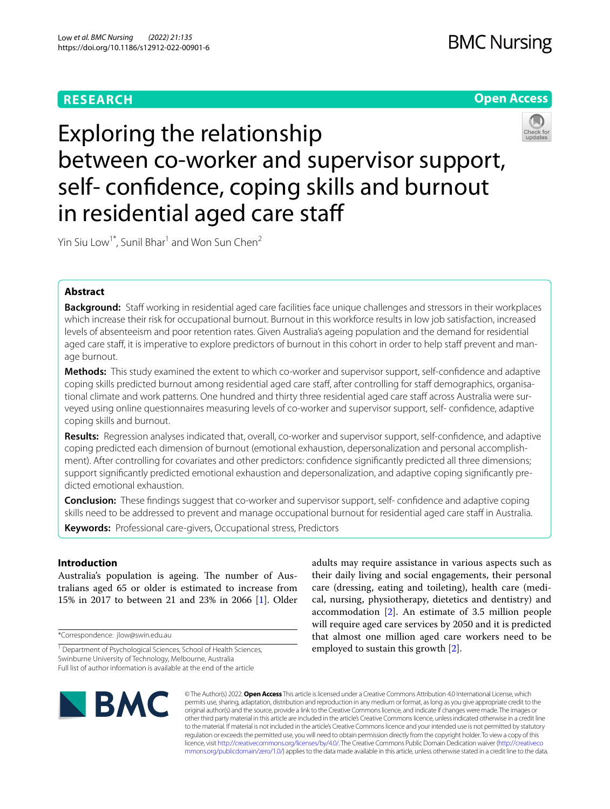# **RESEARCH**

# **Open Access**



Exploring the relationship between co-worker and supervisor support, self- confdence, coping skills and burnout in residential aged care staf

Yin Siu Low<sup>1\*</sup>, Sunil Bhar<sup>1</sup> and Won Sun Chen<sup>2</sup>

## **Abstract**

**Background:** Staff working in residential aged care facilities face unique challenges and stressors in their workplaces which increase their risk for occupational burnout. Burnout in this workforce results in low job satisfaction, increased levels of absenteeism and poor retention rates. Given Australia's ageing population and the demand for residential aged care staff, it is imperative to explore predictors of burnout in this cohort in order to help staff prevent and manage burnout.

**Methods:** This study examined the extent to which co-worker and supervisor support, self-confdence and adaptive coping skills predicted burnout among residential aged care staff, after controlling for staff demographics, organisational climate and work patterns. One hundred and thirty three residential aged care staff across Australia were surveyed using online questionnaires measuring levels of co-worker and supervisor support, self- confdence, adaptive coping skills and burnout.

**Results:** Regression analyses indicated that, overall, co-worker and supervisor support, self-confdence, and adaptive coping predicted each dimension of burnout (emotional exhaustion, depersonalization and personal accomplishment). After controlling for covariates and other predictors: confdence signifcantly predicted all three dimensions; support signifcantly predicted emotional exhaustion and depersonalization, and adaptive coping signifcantly predicted emotional exhaustion.

**Conclusion:** These fndings suggest that co-worker and supervisor support, self- confdence and adaptive coping skills need to be addressed to prevent and manage occupational burnout for residential aged care staff in Australia.

**Keywords:** Professional care-givers, Occupational stress, Predictors

## **Introduction**

Australia's population is ageing. The number of Australians aged 65 or older is estimated to increase from 15% in 2017 to between 21 and 23% in 2066 [[1\]](#page-8-0). Older

\*Correspondence: jlow@swin.edu.au

adults may require assistance in various aspects such as their daily living and social engagements, their personal care (dressing, eating and toileting), health care (medical, nursing, physiotherapy, dietetics and dentistry) and accommodation [[2](#page-8-1)]. An estimate of 3.5 million people will require aged care services by 2050 and it is predicted that almost one million aged care workers need to be employed to sustain this growth [[2\]](#page-8-1).



© The Author(s) 2022. **Open Access** This article is licensed under a Creative Commons Attribution 4.0 International License, which permits use, sharing, adaptation, distribution and reproduction in any medium or format, as long as you give appropriate credit to the original author(s) and the source, provide a link to the Creative Commons licence, and indicate if changes were made. The images or other third party material in this article are included in the article's Creative Commons licence, unless indicated otherwise in a credit line to the material. If material is not included in the article's Creative Commons licence and your intended use is not permitted by statutory regulation or exceeds the permitted use, you will need to obtain permission directly from the copyright holder. To view a copy of this licence, visit [http://creativecommons.org/licenses/by/4.0/.](http://creativecommons.org/licenses/by/4.0/) The Creative Commons Public Domain Dedication waiver ([http://creativeco](http://creativecommons.org/publicdomain/zero/1.0/) [mmons.org/publicdomain/zero/1.0/](http://creativecommons.org/publicdomain/zero/1.0/)) applies to the data made available in this article, unless otherwise stated in a credit line to the data.

<sup>&</sup>lt;sup>1</sup> Department of Psychological Sciences, School of Health Sciences, Swinburne University of Technology, Melbourne, Australia Full list of author information is available at the end of the article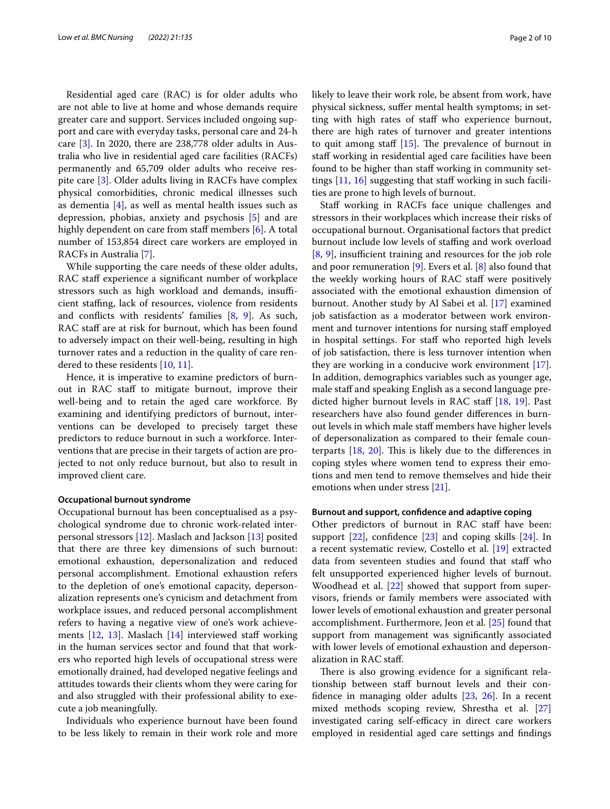Residential aged care (RAC) is for older adults who are not able to live at home and whose demands require greater care and support. Services included ongoing support and care with everyday tasks, personal care and 24-h care [\[3](#page-8-2)]. In 2020, there are 238,778 older adults in Australia who live in residential aged care facilities (RACFs) permanently and 65,709 older adults who receive respite care [\[3](#page-8-2)]. Older adults living in RACFs have complex physical comorbidities, chronic medical illnesses such as dementia [[4](#page-8-3)], as well as mental health issues such as depression, phobias, anxiety and psychosis [\[5\]](#page-8-4) and are highly dependent on care from staff members  $[6]$  $[6]$  $[6]$ . A total number of 153,854 direct care workers are employed in RACFs in Australia [[7\]](#page-8-6).

While supporting the care needs of these older adults, RAC staff experience a significant number of workplace stressors such as high workload and demands, insufficient stafng, lack of resources, violence from residents and conficts with residents' families [\[8](#page-9-0), [9\]](#page-9-1). As such, RAC staff are at risk for burnout, which has been found to adversely impact on their well-being, resulting in high turnover rates and a reduction in the quality of care rendered to these residents [\[10,](#page-9-2) [11](#page-9-3)].

Hence, it is imperative to examine predictors of burnout in RAC staff to mitigate burnout, improve their well-being and to retain the aged care workforce. By examining and identifying predictors of burnout, interventions can be developed to precisely target these predictors to reduce burnout in such a workforce. Interventions that are precise in their targets of action are projected to not only reduce burnout, but also to result in improved client care.

#### **Occupational burnout syndrome**

Occupational burnout has been conceptualised as a psychological syndrome due to chronic work-related interpersonal stressors [[12](#page-9-4)]. Maslach and Jackson [[13\]](#page-9-5) posited that there are three key dimensions of such burnout: emotional exhaustion, depersonalization and reduced personal accomplishment. Emotional exhaustion refers to the depletion of one's emotional capacity, depersonalization represents one's cynicism and detachment from workplace issues, and reduced personal accomplishment refers to having a negative view of one's work achieve-ments [\[12,](#page-9-4) [13](#page-9-5)]. Maslach [\[14\]](#page-9-6) interviewed staff working in the human services sector and found that that workers who reported high levels of occupational stress were emotionally drained, had developed negative feelings and attitudes towards their clients whom they were caring for and also struggled with their professional ability to execute a job meaningfully.

Individuals who experience burnout have been found to be less likely to remain in their work role and more likely to leave their work role, be absent from work, have physical sickness, sufer mental health symptoms; in setting with high rates of staff who experience burnout, there are high rates of turnover and greater intentions to quit among staff  $[15]$ . The prevalence of burnout in staff working in residential aged care facilities have been found to be higher than staff working in community settings  $[11, 16]$  $[11, 16]$  $[11, 16]$  $[11, 16]$  $[11, 16]$  suggesting that staff working in such facilities are prone to high levels of burnout.

Staff working in RACFs face unique challenges and stressors in their workplaces which increase their risks of occupational burnout. Organisational factors that predict burnout include low levels of staffing and work overload  $[8, 9]$  $[8, 9]$  $[8, 9]$  $[8, 9]$  $[8, 9]$ , insufficient training and resources for the job role and poor remuneration  $[9]$  $[9]$ . Evers et al.  $[8]$  $[8]$  also found that the weekly working hours of RAC staff were positively associated with the emotional exhaustion dimension of burnout. Another study by Al Sabei et al. [[17\]](#page-9-9) examined job satisfaction as a moderator between work environment and turnover intentions for nursing staf employed in hospital settings. For staff who reported high levels of job satisfaction, there is less turnover intention when they are working in a conducive work environment [\[17](#page-9-9)]. In addition, demographics variables such as younger age, male staff and speaking English as a second language pre-dicted higher burnout levels in RAC staff [[18,](#page-9-10) [19](#page-9-11)]. Past researchers have also found gender diferences in burnout levels in which male staf members have higher levels of depersonalization as compared to their female counterparts  $[18, 20]$  $[18, 20]$  $[18, 20]$  $[18, 20]$ . This is likely due to the differences in coping styles where women tend to express their emotions and men tend to remove themselves and hide their emotions when under stress [[21](#page-9-13)].

## **Burnout and support, confdence and adaptive coping**

Other predictors of burnout in RAC staff have been: support  $[22]$ , confidence  $[23]$  $[23]$  and coping skills  $[24]$  $[24]$  $[24]$ . In a recent systematic review, Costello et al. [\[19\]](#page-9-11) extracted data from seventeen studies and found that staff who felt unsupported experienced higher levels of burnout. Woodhead et al. [\[22\]](#page-9-14) showed that support from supervisors, friends or family members were associated with lower levels of emotional exhaustion and greater personal accomplishment. Furthermore, Jeon et al. [\[25](#page-9-17)] found that support from management was signifcantly associated with lower levels of emotional exhaustion and depersonalization in RAC staf.

There is also growing evidence for a significant relationship between staf burnout levels and their confdence in managing older adults [\[23](#page-9-15), [26\]](#page-9-18). In a recent mixed methods scoping review, Shrestha et al. [[27](#page-9-19)] investigated caring self-efficacy in direct care workers employed in residential aged care settings and fndings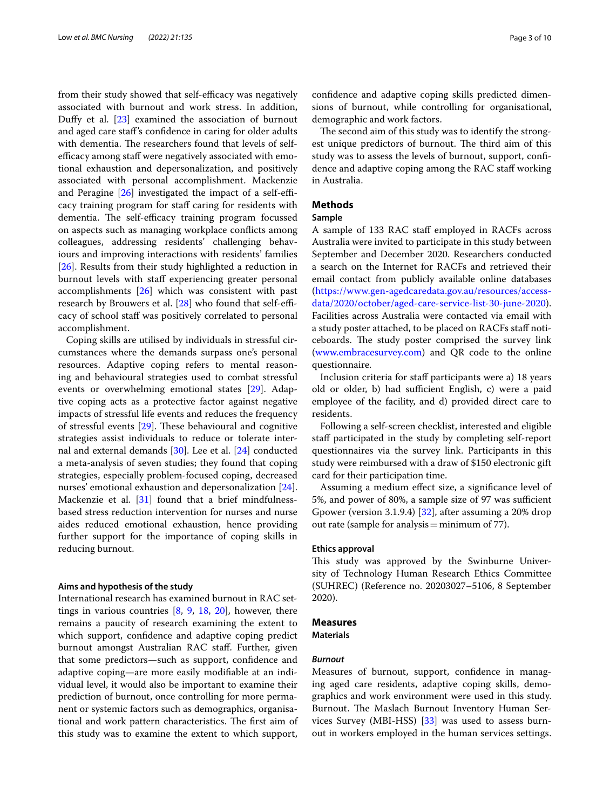from their study showed that self-efficacy was negatively associated with burnout and work stress. In addition, Dufy et al. [\[23](#page-9-15)] examined the association of burnout and aged care staf's confdence in caring for older adults with dementia. The researchers found that levels of selfefficacy among staff were negatively associated with emotional exhaustion and depersonalization, and positively associated with personal accomplishment. Mackenzie and Peragine  $[26]$  investigated the impact of a self-efficacy training program for staff caring for residents with dementia. The self-efficacy training program focussed on aspects such as managing workplace conficts among colleagues, addressing residents' challenging behaviours and improving interactions with residents' families [[26\]](#page-9-18). Results from their study highlighted a reduction in burnout levels with staff experiencing greater personal accomplishments [\[26\]](#page-9-18) which was consistent with past research by Brouwers et al.  $[28]$  $[28]$  $[28]$  who found that self-efficacy of school staf was positively correlated to personal accomplishment.

Coping skills are utilised by individuals in stressful circumstances where the demands surpass one's personal resources. Adaptive coping refers to mental reasoning and behavioural strategies used to combat stressful events or overwhelming emotional states [[29](#page-9-21)]. Adaptive coping acts as a protective factor against negative impacts of stressful life events and reduces the frequency of stressful events  $[29]$  $[29]$ . These behavioural and cognitive strategies assist individuals to reduce or tolerate internal and external demands [\[30](#page-9-22)]. Lee et al. [\[24](#page-9-16)] conducted a meta-analysis of seven studies; they found that coping strategies, especially problem-focused coping, decreased nurses' emotional exhaustion and depersonalization [\[24](#page-9-16)]. Mackenzie et al. [[31\]](#page-9-23) found that a brief mindfulnessbased stress reduction intervention for nurses and nurse aides reduced emotional exhaustion, hence providing further support for the importance of coping skills in reducing burnout.

#### **Aims and hypothesis of the study**

International research has examined burnout in RAC settings in various countries  $[8, 9, 18, 20]$  $[8, 9, 18, 20]$  $[8, 9, 18, 20]$  $[8, 9, 18, 20]$  $[8, 9, 18, 20]$  $[8, 9, 18, 20]$  $[8, 9, 18, 20]$  $[8, 9, 18, 20]$ , however, there remains a paucity of research examining the extent to which support, confidence and adaptive coping predict burnout amongst Australian RAC staf. Further, given that some predictors—such as support, confdence and adaptive coping—are more easily modifable at an individual level, it would also be important to examine their prediction of burnout, once controlling for more permanent or systemic factors such as demographics, organisational and work pattern characteristics. The first aim of this study was to examine the extent to which support, confdence and adaptive coping skills predicted dimensions of burnout, while controlling for organisational, demographic and work factors.

The second aim of this study was to identify the strongest unique predictors of burnout. The third aim of this study was to assess the levels of burnout, support, confdence and adaptive coping among the RAC staff working in Australia.

## **Methods**

## **Sample**

A sample of 133 RAC staf employed in RACFs across Australia were invited to participate in this study between September and December 2020. Researchers conducted a search on the Internet for RACFs and retrieved their email contact from publicly available online databases ([https://www.gen-agedcaredata.gov.au/resources/access](https://www.gen-agedcaredata.gov.au/resources/access-data/2020/october/aged-care-service-list-30-june-2020)[data/2020/october/aged-care-service-list-30-june-2020](https://www.gen-agedcaredata.gov.au/resources/access-data/2020/october/aged-care-service-list-30-june-2020)). Facilities across Australia were contacted via email with a study poster attached, to be placed on RACFs staff noticeboards. The study poster comprised the survey link ([www.embracesurvey.com](http://www.embracesurvey.com)) and QR code to the online questionnaire.

Inclusion criteria for staf participants were a) 18 years old or older, b) had sufficient English, c) were a paid employee of the facility, and d) provided direct care to residents.

Following a self-screen checklist, interested and eligible staff participated in the study by completing self-report questionnaires via the survey link. Participants in this study were reimbursed with a draw of \$150 electronic gift card for their participation time.

Assuming a medium efect size, a signifcance level of 5%, and power of 80%, a sample size of 97 was sufficient Gpower (version 3.1.9.4) [[32](#page-9-24)], after assuming a 20% drop out rate (sample for analysis=minimum of 77).

#### **Ethics approval**

This study was approved by the Swinburne University of Technology Human Research Ethics Committee (SUHREC) (Reference no. 20203027–5106, 8 September 2020).

## **Measures**

**Materials**

## *Burnout*

Measures of burnout, support, confdence in managing aged care residents, adaptive coping skills, demographics and work environment were used in this study. Burnout. The Maslach Burnout Inventory Human Services Survey (MBI-HSS) [\[33](#page-9-25)] was used to assess burnout in workers employed in the human services settings.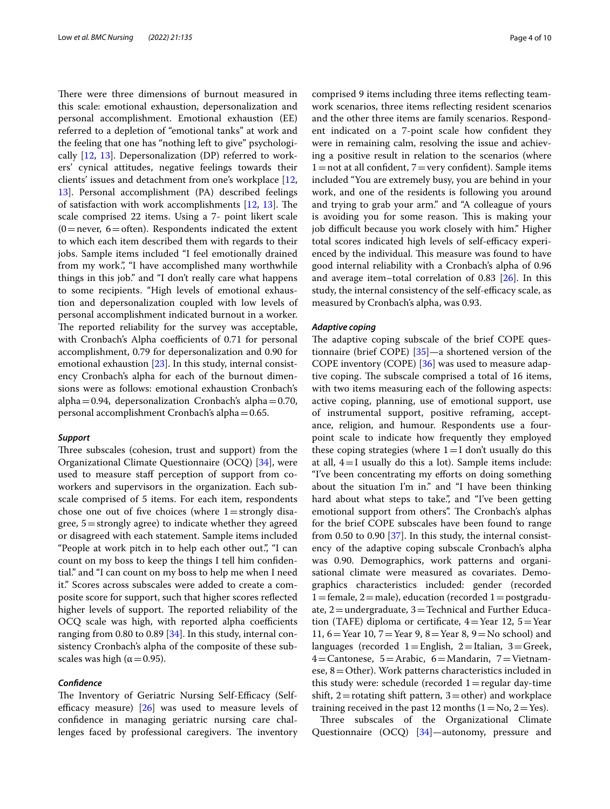There were three dimensions of burnout measured in this scale: emotional exhaustion, depersonalization and personal accomplishment. Emotional exhaustion (EE) referred to a depletion of "emotional tanks" at work and the feeling that one has "nothing left to give" psychologically [\[12,](#page-9-4) [13\]](#page-9-5). Depersonalization (DP) referred to workers' cynical attitudes, negative feelings towards their clients' issues and detachment from one's workplace [\[12](#page-9-4), [13\]](#page-9-5). Personal accomplishment (PA) described feelings of satisfaction with work accomplishments  $[12, 13]$  $[12, 13]$  $[12, 13]$  $[12, 13]$ . The scale comprised 22 items. Using a 7- point likert scale  $(0=$ never,  $6=$ often). Respondents indicated the extent to which each item described them with regards to their jobs. Sample items included "I feel emotionally drained from my work.", "I have accomplished many worthwhile things in this job." and "I don't really care what happens to some recipients. "High levels of emotional exhaustion and depersonalization coupled with low levels of personal accomplishment indicated burnout in a worker. The reported reliability for the survey was acceptable, with Cronbach's Alpha coefficients of 0.71 for personal accomplishment, 0.79 for depersonalization and 0.90 for emotional exhaustion [[23\]](#page-9-15). In this study, internal consistency Cronbach's alpha for each of the burnout dimensions were as follows: emotional exhaustion Cronbach's alpha=0.94, depersonalization Cronbach's alpha=0.70, personal accomplishment Cronbach's alpha=0.65.

#### *Support*

Three subscales (cohesion, trust and support) from the Organizational Climate Questionnaire (OCQ) [[34\]](#page-9-26), were used to measure staff perception of support from coworkers and supervisors in the organization. Each subscale comprised of 5 items. For each item, respondents chose one out of five choices (where  $1 =$ strongly disagree, 5=strongly agree) to indicate whether they agreed or disagreed with each statement. Sample items included "People at work pitch in to help each other out.", "I can count on my boss to keep the things I tell him confdential." and "I can count on my boss to help me when I need it." Scores across subscales were added to create a composite score for support, such that higher scores refected higher levels of support. The reported reliability of the OCQ scale was high, with reported alpha coefficients ranging from 0.80 to 0.89 [\[34](#page-9-26)]. In this study, internal consistency Cronbach's alpha of the composite of these subscales was high ( $\alpha$  = 0.95).

### *Confdence*

The Inventory of Geriatric Nursing Self-Efficacy (Selfefficacy measure)  $[26]$  $[26]$  was used to measure levels of confdence in managing geriatric nursing care challenges faced by professional caregivers. The inventory comprised 9 items including three items refecting teamwork scenarios, three items refecting resident scenarios and the other three items are family scenarios. Respondent indicated on a 7-point scale how confdent they were in remaining calm, resolving the issue and achieving a positive result in relation to the scenarios (where  $1=$ not at all confident,  $7=$ very confident). Sample items included "You are extremely busy, you are behind in your work, and one of the residents is following you around and trying to grab your arm." and "A colleague of yours is avoiding you for some reason. This is making your job difficult because you work closely with him." Higher total scores indicated high levels of self-efficacy experienced by the individual. This measure was found to have good internal reliability with a Cronbach's alpha of 0.96 and average item–total correlation of 0.83 [\[26](#page-9-18)]. In this study, the internal consistency of the self-efficacy scale, as measured by Cronbach's alpha, was 0.93.

#### *Adaptive coping*

The adaptive coping subscale of the brief COPE questionnaire (brief COPE) [\[35](#page-9-27)]—a shortened version of the COPE inventory (COPE) [\[36](#page-9-28)] was used to measure adaptive coping. The subscale comprised a total of 16 items, with two items measuring each of the following aspects: active coping, planning, use of emotional support, use of instrumental support, positive reframing, acceptance, religion, and humour. Respondents use a fourpoint scale to indicate how frequently they employed these coping strategies (where  $1=I$  don't usually do this at all,  $4=I$  usually do this a lot). Sample items include: "I've been concentrating my eforts on doing something about the situation I'm in." and "I have been thinking hard about what steps to take.", and "I've been getting emotional support from others". The Cronbach's alphas for the brief COPE subscales have been found to range from 0.50 to 0.90  $[37]$  $[37]$ . In this study, the internal consistency of the adaptive coping subscale Cronbach's alpha was 0.90. Demographics, work patterns and organisational climate were measured as covariates. Demographics characteristics included: gender (recorded  $1 =$  female,  $2 =$  male), education (recorded  $1 =$  postgraduate,  $2$  = undergraduate,  $3$  = Technical and Further Education (TAFE) diploma or certificate,  $4=$ Year 12,  $5=$ Year 11, 6=Year 10, 7=Year 9, 8=Year 8, 9=No school) and languages (recorded  $1 =$ English,  $2 =$ Italian,  $3 =$ Greek, 4=Cantonese, 5=Arabic, 6=Mandarin, 7=Vietnamese,  $8=O$ ther). Work patterns characteristics included in this study were: schedule (recorded  $1 =$  regular day-time shift,  $2$  = rotating shift pattern,  $3$  = other) and workplace training received in the past 12 months  $(1 = No, 2 = Yes)$ .

Three subscales of the Organizational Climate Questionnaire (OCQ) [[34](#page-9-26)]—autonomy, pressure and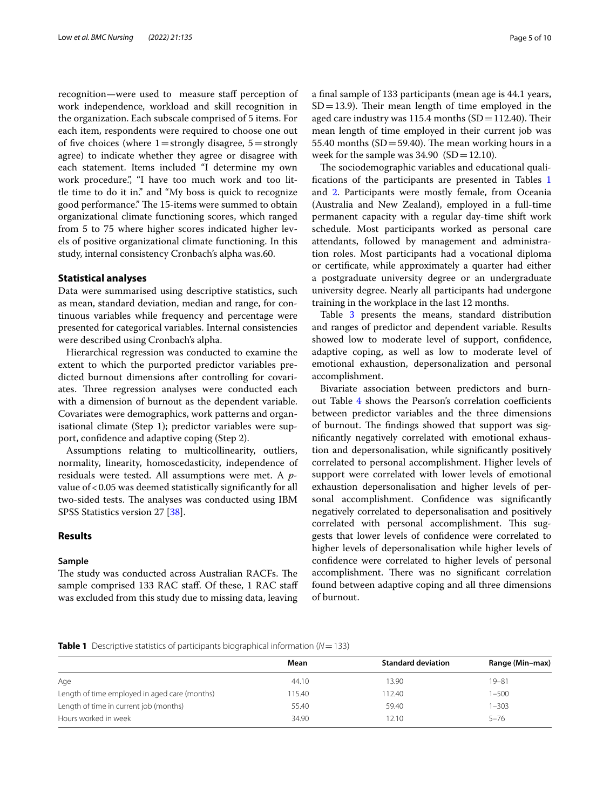recognition—were used to measure staff perception of work independence, workload and skill recognition in the organization. Each subscale comprised of 5 items. For each item, respondents were required to choose one out of five choices (where  $1=$  strongly disagree,  $5=$  strongly agree) to indicate whether they agree or disagree with each statement. Items included "I determine my own work procedure.", "I have too much work and too little time to do it in." and "My boss is quick to recognize good performance." The 15-items were summed to obtain organizational climate functioning scores, which ranged from 5 to 75 where higher scores indicated higher levels of positive organizational climate functioning. In this study, internal consistency Cronbach's alpha was.60.

#### **Statistical analyses**

Data were summarised using descriptive statistics, such as mean, standard deviation, median and range, for continuous variables while frequency and percentage were presented for categorical variables. Internal consistencies were described using Cronbach's alpha.

Hierarchical regression was conducted to examine the extent to which the purported predictor variables predicted burnout dimensions after controlling for covariates. Three regression analyses were conducted each with a dimension of burnout as the dependent variable. Covariates were demographics, work patterns and organisational climate (Step 1); predictor variables were support, confdence and adaptive coping (Step 2).

Assumptions relating to multicollinearity, outliers, normality, linearity, homoscedasticity, independence of residuals were tested. All assumptions were met. A *p*value of<0.05 was deemed statistically signifcantly for all two-sided tests. The analyses was conducted using IBM SPSS Statistics version 27 [[38\]](#page-9-30).

## **Results**

#### **Sample**

The study was conducted across Australian RACFs. The sample comprised 133 RAC staff. Of these, 1 RAC staff was excluded from this study due to missing data, leaving a fnal sample of 133 participants (mean age is 44.1 years,  $SD = 13.9$ ). Their mean length of time employed in the aged care industry was 115.4 months  $(SD=112.40)$ . Their mean length of time employed in their current job was 55.40 months (SD = 59.40). The mean working hours in a week for the sample was  $34.90$  (SD = 12.10).

The sociodemographic variables and educational qualifcations of the participants are presented in Tables [1](#page-4-0) and [2](#page-5-0). Participants were mostly female, from Oceania (Australia and New Zealand), employed in a full-time permanent capacity with a regular day-time shift work schedule. Most participants worked as personal care attendants, followed by management and administration roles. Most participants had a vocational diploma or certifcate, while approximately a quarter had either a postgraduate university degree or an undergraduate university degree. Nearly all participants had undergone training in the workplace in the last 12 months.

Table [3](#page-5-1) presents the means, standard distribution and ranges of predictor and dependent variable. Results showed low to moderate level of support, confdence, adaptive coping, as well as low to moderate level of emotional exhaustion, depersonalization and personal accomplishment.

Bivariate association between predictors and burn-out Table [4](#page-6-0) shows the Pearson's correlation coefficients between predictor variables and the three dimensions of burnout. The findings showed that support was signifcantly negatively correlated with emotional exhaustion and depersonalisation, while signifcantly positively correlated to personal accomplishment. Higher levels of support were correlated with lower levels of emotional exhaustion depersonalisation and higher levels of personal accomplishment. Confidence was significantly negatively correlated to depersonalisation and positively correlated with personal accomplishment. This suggests that lower levels of confdence were correlated to higher levels of depersonalisation while higher levels of confdence were correlated to higher levels of personal accomplishment. There was no significant correlation found between adaptive coping and all three dimensions of burnout.

## <span id="page-4-0"></span>**Table 1** Descriptive statistics of participants biographical information (*N*=133)

|                                               | Mean   | <b>Standard deviation</b> | Range (Min-max) |
|-----------------------------------------------|--------|---------------------------|-----------------|
| Age                                           | 44.10  | 13.90                     | $19 - 81$       |
| Length of time employed in aged care (months) | 115.40 | 112.40                    | 1-500           |
| Length of time in current job (months)        | 55.40  | 59.40                     | $1 - 303$       |
| Hours worked in week                          | 34.90  | 12.10                     | $5 - 76$        |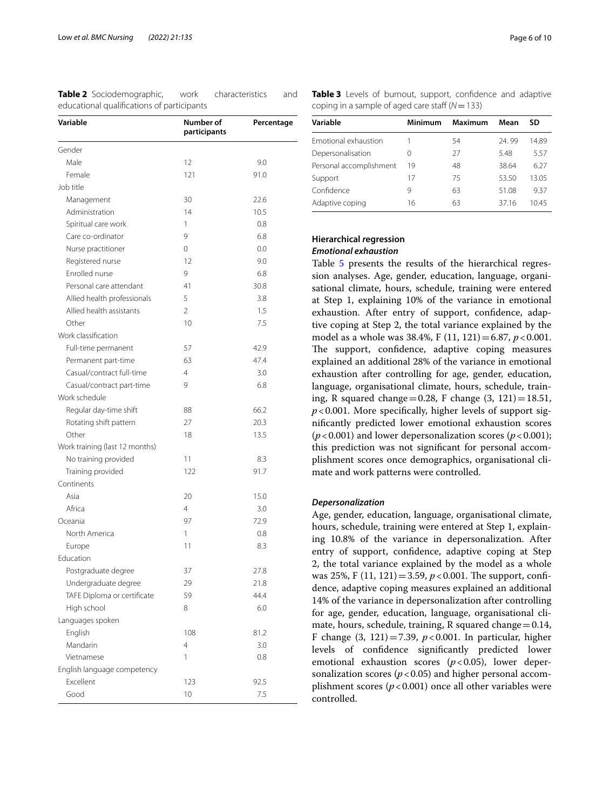<span id="page-5-0"></span>

| Table 2 Sociodemographic,                  | work | characteristics | and |
|--------------------------------------------|------|-----------------|-----|
| educational qualifications of participants |      |                 |     |

| Variable                       | Number of<br>participants | Percentage |
|--------------------------------|---------------------------|------------|
| Gender                         |                           |            |
| Male                           | 12                        | 9.0        |
| Female                         | 121                       | 91.0       |
| Job title                      |                           |            |
| Management                     | 30                        | 22.6       |
| Administration                 | 14                        | 10.5       |
| Spiritual care work            | 1                         | 0.8        |
| Care co-ordinator              | 9                         | 6.8        |
| Nurse practitioner             | 0                         | 0.0        |
| Registered nurse               | 12                        | 9.0        |
| Enrolled nurse                 | 9                         | 6.8        |
| Personal care attendant        | 41                        | 30.8       |
| Allied health professionals    | 5                         | 3.8        |
| Allied health assistants       | $\overline{2}$            | 1.5        |
| Other                          | 10                        | 7.5        |
| Work classification            |                           |            |
| Full-time permanent            | 57                        | 42.9       |
| Permanent part-time            | 63                        | 47.4       |
| Casual/contract full-time      | 4                         | 3.0        |
| Casual/contract part-time      | 9                         | 6.8        |
| Work schedule                  |                           |            |
| Regular day-time shift         | 88                        | 66.2       |
| Rotating shift pattern         | 27                        | 20.3       |
| Other                          | 18                        | 13.5       |
| Work training (last 12 months) |                           |            |
| No training provided           | 11                        | 8.3        |
| Training provided              | 122                       | 91.7       |
| Continents                     |                           |            |
| Asia                           | 20                        | 15.0       |
| Africa                         | 4                         | 3.0        |
| Oceania                        | 97                        | 72.9       |
| North America                  | 1                         | 0.8        |
| Europe                         | 11                        | 8.3        |
| Education                      |                           |            |
| Postgraduate degree            | 37                        | 27.8       |
| Undergraduate degree           | 29                        | 21.8       |
| TAFE Diploma or certificate    | 59                        | 44.4       |
| High school                    | 8                         | 6.0        |
| Languages spoken               |                           |            |
| English                        | 108                       | 81.2       |
| Mandarin                       | 4                         | 3.0        |
| Vietnamese                     | 1                         | 0.8        |
| English language competency    |                           |            |
| Excellent                      | 123                       | 92.5       |
| Good                           | 10                        | 7.5        |

<span id="page-5-1"></span>

|  |  |                                                   | Table 3 Levels of burnout, support, confidence and adaptive |  |
|--|--|---------------------------------------------------|-------------------------------------------------------------|--|
|  |  | coping in a sample of aged care staff $(N = 133)$ |                                                             |  |

| Variable                | Minimum          | Maximum | Mean  | SD    |
|-------------------------|------------------|---------|-------|-------|
| Emotional exhaustion    |                  | 54      | 24.99 | 14.89 |
| Depersonalisation       | $\left( \right)$ | 27      | 5.48  | 557   |
| Personal accomplishment | 19               | 48      | 38.64 | 6.27  |
| Support                 | 17               | 75      | 53.50 | 13.05 |
| Confidence              | 9                | 63      | 51.08 | 937   |
| Adaptive coping         | 16               | 63      | 3716  | 1045  |

## **Hierarchical** *r***egression** *Emotional exhaustion*

Table [5](#page-7-0) presents the results of the hierarchical regression analyses. Age, gender, education, language, organisational climate, hours, schedule, training were entered at Step 1, explaining 10% of the variance in emotional exhaustion. After entry of support, confdence, adaptive coping at Step 2, the total variance explained by the model as a whole was 38.4%, F (11, 121)=6.87, *p*<0.001. The support, confidence, adaptive coping measures explained an additional 28% of the variance in emotional exhaustion after controlling for age, gender, education, language, organisational climate, hours, schedule, training, R squared change=0.28, F change  $(3, 121) = 18.51$ ,  $p$ <0.001. More specifically, higher levels of support signifcantly predicted lower emotional exhaustion scores ( $p$ <0.001) and lower depersonalization scores ( $p$ <0.001); this prediction was not signifcant for personal accomplishment scores once demographics, organisational climate and work patterns were controlled.

## *Depersonalization*

Age, gender, education, language, organisational climate, hours, schedule, training were entered at Step 1, explaining 10.8% of the variance in depersonalization. After entry of support, confdence, adaptive coping at Step 2, the total variance explained by the model as a whole was 25%, F  $(11, 121) = 3.59$ ,  $p < 0.001$ . The support, confidence, adaptive coping measures explained an additional 14% of the variance in depersonalization after controlling for age, gender, education, language, organisational climate, hours, schedule, training, R squared change  $=0.14$ , F change  $(3, 121) = 7.39$ ,  $p < 0.001$ . In particular, higher levels of confdence signifcantly predicted lower emotional exhaustion scores  $(p<0.05)$ , lower depersonalization scores  $(p < 0.05)$  and higher personal accomplishment scores  $(p < 0.001)$  once all other variables were controlled.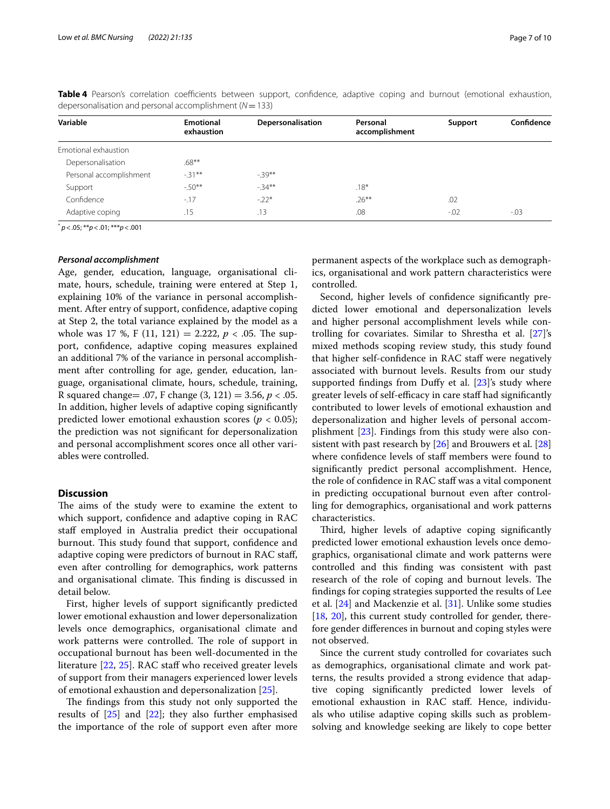| Variable                | <b>Emotional</b><br>exhaustion | Depersonalisation | Personal<br>accomplishment | Support | Confidence |
|-------------------------|--------------------------------|-------------------|----------------------------|---------|------------|
| Emotional exhaustion    |                                |                   |                            |         |            |
| Depersonalisation       | $.68***$                       |                   |                            |         |            |
| Personal accomplishment | $-31***$                       | $-39**$           |                            |         |            |
| Support                 | $-50**$                        | $-34**$           | $.18*$                     |         |            |
| Confidence              | $-17$                          | $-22*$            | $.26***$                   | .02     |            |
| Adaptive coping         | .15                            | .13               | .08                        | $-.02$  | $-0.03$    |

<span id="page-6-0"></span>Table 4 Pearson's correlation coefficients between support, confidence, adaptive coping and burnout (emotional exhaustion, depersonalisation and personal accomplishment (*N*=133)

\* *p*<.05; \*\**p*<.01; \*\*\**p*<.001

#### *Personal accomplishment*

Age, gender, education, language, organisational climate, hours, schedule, training were entered at Step 1, explaining 10% of the variance in personal accomplishment. After entry of support, confdence, adaptive coping at Step 2, the total variance explained by the model as a whole was 17 %, F (11, 121) = 2.222,  $p < .05$ . The support, confdence, adaptive coping measures explained an additional 7% of the variance in personal accomplishment after controlling for age, gender, education, language, organisational climate, hours, schedule, training, R squared change= .07, F change (3, 121) = 3.56, *p* < .05. In addition, higher levels of adaptive coping signifcantly predicted lower emotional exhaustion scores ( $p < 0.05$ ); the prediction was not signifcant for depersonalization and personal accomplishment scores once all other variables were controlled.

## **Discussion**

The aims of the study were to examine the extent to which support, confdence and adaptive coping in RAC staff employed in Australia predict their occupational burnout. This study found that support, confidence and adaptive coping were predictors of burnout in RAC staf, even after controlling for demographics, work patterns and organisational climate. This finding is discussed in detail below.

First, higher levels of support signifcantly predicted lower emotional exhaustion and lower depersonalization levels once demographics, organisational climate and work patterns were controlled. The role of support in occupational burnout has been well-documented in the literature [[22,](#page-9-14) [25\]](#page-9-17). RAC staff who received greater levels of support from their managers experienced lower levels of emotional exhaustion and depersonalization [[25\]](#page-9-17).

The findings from this study not only supported the results of [[25](#page-9-17)] and [\[22](#page-9-14)]; they also further emphasised the importance of the role of support even after more permanent aspects of the workplace such as demographics, organisational and work pattern characteristics were controlled.

Second, higher levels of confdence signifcantly predicted lower emotional and depersonalization levels and higher personal accomplishment levels while controlling for covariates. Similar to Shrestha et al. [\[27](#page-9-19)]'s mixed methods scoping review study, this study found that higher self-confdence in RAC staf were negatively associated with burnout levels. Results from our study supported findings from Duffy et al.  $[23]$  $[23]$ 's study where greater levels of self-efficacy in care staff had significantly contributed to lower levels of emotional exhaustion and depersonalization and higher levels of personal accomplishment [\[23](#page-9-15)]. Findings from this study were also consistent with past research by [[26\]](#page-9-18) and Brouwers et al. [[28](#page-9-20)] where confdence levels of staf members were found to signifcantly predict personal accomplishment. Hence, the role of confdence in RAC staf was a vital component in predicting occupational burnout even after controlling for demographics, organisational and work patterns characteristics.

Third, higher levels of adaptive coping significantly predicted lower emotional exhaustion levels once demographics, organisational climate and work patterns were controlled and this fnding was consistent with past research of the role of coping and burnout levels. The fndings for coping strategies supported the results of Lee et al. [[24](#page-9-16)] and Mackenzie et al. [[31](#page-9-23)]. Unlike some studies [[18,](#page-9-10) [20](#page-9-12)], this current study controlled for gender, therefore gender diferences in burnout and coping styles were not observed.

Since the current study controlled for covariates such as demographics, organisational climate and work patterns, the results provided a strong evidence that adaptive coping signifcantly predicted lower levels of emotional exhaustion in RAC staf. Hence, individuals who utilise adaptive coping skills such as problemsolving and knowledge seeking are likely to cope better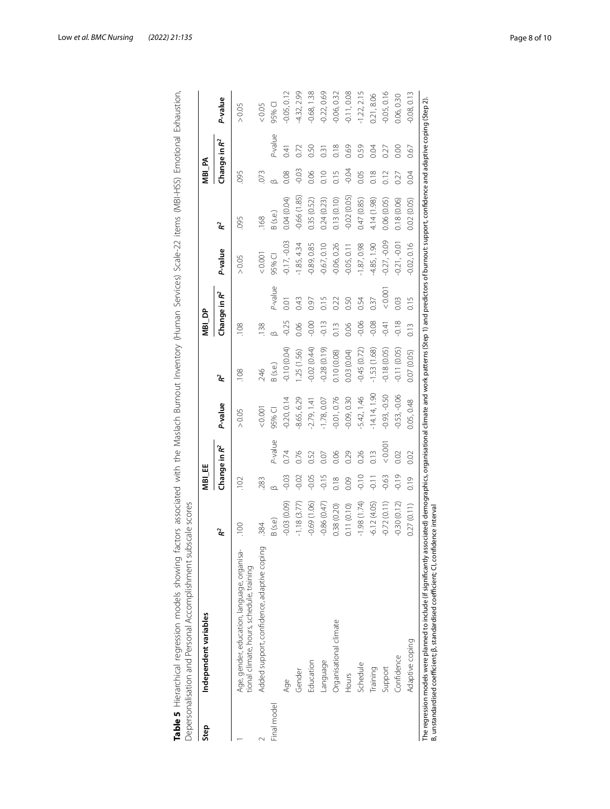| Step        | Independent variables                                                                    |               | MBI_EE         |                 |                |               | NBI_DP  |                 |                |               | MBI_PA  |                 |               |
|-------------|------------------------------------------------------------------------------------------|---------------|----------------|-----------------|----------------|---------------|---------|-----------------|----------------|---------------|---------|-----------------|---------------|
|             |                                                                                          | ř             |                | Change in $R^2$ | P-value        | ř             |         | Change in $R^2$ | P-value        | ጅ             |         | Change in $R^2$ | P-value       |
|             | Age, gender, education, language, organisa-<br>tional climate, hours, schedule, training | 100           | 102            |                 | > 0.05         | 108           | 108     |                 | > 0.05         | 095           | 095     |                 | > 0.05        |
|             | Added support, confidence, adaptive coping                                               | 384           | 283            |                 | 0.001          | 246           | 138     |                 | 0.001          | .168          | 073     |                 | &0.05         |
| Final model |                                                                                          | B (s.e)       | ∞              | $P-$ value      | 95% CI         | B (s.e.)      |         | P-value         | 95% CI         | B (s.e.)      |         | $-$ value       | 95% CI        |
|             | Age                                                                                      | $-0.03(0.09)$ | $-0.03$        | 0.74            | $-0.20, 0.14$  | $-0.10(0.04)$ | $-0.25$ | 0.01            | $-0.17, -0.03$ | 0.04 (0.04)   | 0.08    | 0.41            | $-0.05, 0.12$ |
|             | Gender                                                                                   | $-1.18(3.77)$ | $-0.02$        | 0.76            | -8.65, 6.29    | .25(1.56)     | 0.06    | 0.43            | $-1.85, 4.34$  | $-0.66(1.85)$ | $-0.03$ | 0.72            | 4.32, 2.99    |
|             | Education                                                                                | $-0.69(1.06)$ | 0.05           | 0.52            | $-2.79, 1.41$  | 0.02(0.44)    | $-0.00$ | 0.97            | $-0.89, 0.85$  | 0.35 (0.52)   | 0.06    | 0.50            | 0.68, 1.38    |
|             | Language                                                                                 | $-0.86(0.47)$ | 0.15           | 0.07            | $-1.78, 0.07$  | $-0.28(0.19)$ | $-0.13$ | $\frac{5}{2}$   | $-0.67, 0.10$  | 0.24(0.23)    | 0.10    | 0.31            | 0.22, 0.69    |
|             | Organisational climate                                                                   | 0.38(0.20)    | 0.18           | 0.06            | $-0.01, 0.76$  | 0.10(0.08)    | 0.13    | 0.22            | $-0.06, 0.26$  | 0.13(0.10)    | 0.15    | 0.18            | $-0.06, 0.32$ |
|             | Hours                                                                                    | 0.11(0.10)    | 0.09           | 0.29            | $-0.09, 0.30$  | 0.03(0.04)    | 0.06    | 0.50            | $-0.05, 0.11$  | $-0.02(0.05)$ | $-0.04$ | 0.69            | $-0.11, 0.08$ |
|             | Schedule                                                                                 | (1.74)        | $rac{1}{2}$    | 0.26            | 5.42, 1.46     | $-0.45(0.72)$ | $-0.06$ | 0.54            | $-1.87,0.98$   | 0.47 (0.85)   | 0.05    | 0.59            | $-1.22, 2.15$ |
|             | Training                                                                                 | $-6.12(4.05)$ | $\overline{=}$ | 0.13            | $-14.14, 1.90$ | $-1.53(1.68)$ | $-0.08$ | 0.37            | $-4.85, 1.90$  | 4.14 (1.98)   | 0.18    | 0.04            | 0.21,8.06     |
|             | Support                                                                                  | $-0.72(0.11)$ | $-0.63$        | 0.001           | $-0.93, -0.50$ | 0.18(0.05)    | $-0.41$ | 0.001           | $-0.27, -0.09$ | 0.06(0.05)    | 0.12    | 0.27            | $-0.05, 0.16$ |
|             | Confidence                                                                               | $-0.30(0.12)$ | $-0.19$        | 0.02            | $-0.53, -0.06$ | $-0.11(0.05)$ | $-0.18$ | 0.03            | $-0.21, -0.01$ | 0.18(0.06)    | 0.27    | 0.00            | 0.06,0.30     |
|             | Adaptive coping                                                                          | 0.27(0.11)    | 0.19           | 0.02            | 0.05, 0.48     | 0.07 (0.05)   | 0.13    | 0.15            | $-0.02, 0.16$  | 0.02(0.05)    | 0.04    | 0.67            | $-0.08, 0.13$ |

<span id="page-7-0"></span>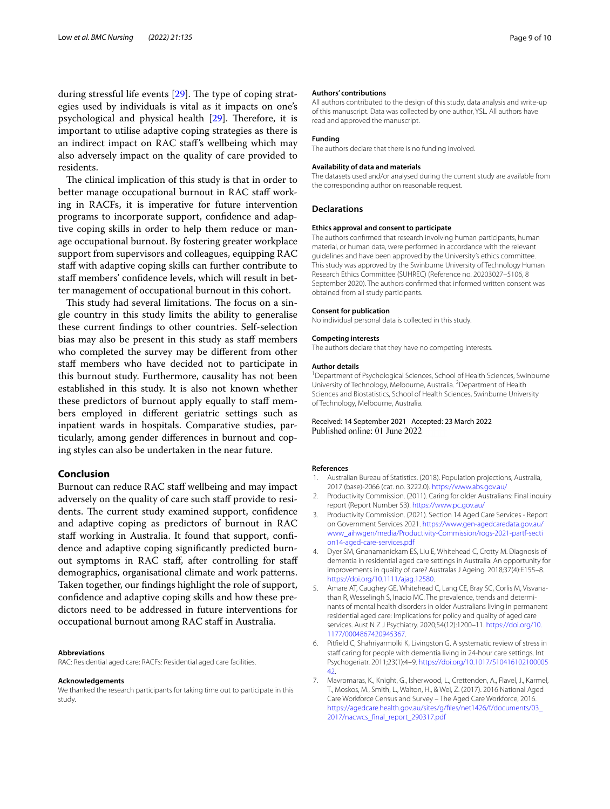during stressful life events  $[29]$  $[29]$ . The type of coping strategies used by individuals is vital as it impacts on one's psychological and physical health [\[29](#page-9-21)]. Therefore, it is important to utilise adaptive coping strategies as there is an indirect impact on RAC staf's wellbeing which may also adversely impact on the quality of care provided to residents.

The clinical implication of this study is that in order to better manage occupational burnout in RAC staff working in RACFs, it is imperative for future intervention programs to incorporate support, confdence and adaptive coping skills in order to help them reduce or manage occupational burnout. By fostering greater workplace support from supervisors and colleagues, equipping RAC staff with adaptive coping skills can further contribute to staf members' confdence levels, which will result in better management of occupational burnout in this cohort.

This study had several limitations. The focus on a single country in this study limits the ability to generalise these current fndings to other countries. Self-selection bias may also be present in this study as staf members who completed the survey may be diferent from other staf members who have decided not to participate in this burnout study. Furthermore, causality has not been established in this study. It is also not known whether these predictors of burnout apply equally to staff members employed in diferent geriatric settings such as inpatient wards in hospitals. Comparative studies, particularly, among gender diferences in burnout and coping styles can also be undertaken in the near future.

### **Conclusion**

Burnout can reduce RAC staff wellbeing and may impact adversely on the quality of care such staf provide to residents. The current study examined support, confidence and adaptive coping as predictors of burnout in RAC staff working in Australia. It found that support, confidence and adaptive coping signifcantly predicted burnout symptoms in RAC staf, after controlling for staf demographics, organisational climate and work patterns. Taken together, our fndings highlight the role of support, confdence and adaptive coping skills and how these predictors need to be addressed in future interventions for occupational burnout among RAC staf in Australia.

#### **Abbreviations**

RAC: Residential aged care; RACFs: Residential aged care facilities.

#### **Acknowledgements**

We thanked the research participants for taking time out to participate in this study.

#### **Authors' contributions**

All authors contributed to the design of this study, data analysis and write-up of this manuscript. Data was collected by one author, YSL. All authors have read and approved the manuscript.

#### **Funding**

The authors declare that there is no funding involved.

#### **Availability of data and materials**

The datasets used and/or analysed during the current study are available from the corresponding author on reasonable request.

#### **Declarations**

#### **Ethics approval and consent to participate**

The authors confrmed that research involving human participants, human material, or human data, were performed in accordance with the relevant guidelines and have been approved by the University's ethics committee. This study was approved by the Swinburne University of Technology Human Research Ethics Committee (SUHREC) (Reference no. 20203027–5106, 8 September 2020). The authors confrmed that informed written consent was obtained from all study participants.

#### **Consent for publication**

No individual personal data is collected in this study.

#### **Competing interests**

The authors declare that they have no competing interests.

#### **Author details**

<sup>1</sup> Department of Psychological Sciences, School of Health Sciences, Swinburne University of Technology, Melbourne, Australia. <sup>2</sup> Department of Health Sciences and Biostatistics, School of Health Sciences, Swinburne University of Technology, Melbourne, Australia.

#### Received: 14 September 2021 Accepted: 23 March 2022 Published online: 01 June 2022

#### **References**

- <span id="page-8-0"></span>1. Australian Bureau of Statistics. (2018). Population projections, Australia, 2017 (base)-2066 (cat. no. 3222.0). <https://www.abs.gov.au/>
- <span id="page-8-1"></span>2. Productivity Commission. (2011). Caring for older Australians: Final inquiry report (Report Number 53). <https://www.pc.gov.au/>
- <span id="page-8-2"></span>3. Productivity Commission. (2021). Section 14 Aged Care Services - Report on Government Services 2021. [https://www.gen-agedcaredata.gov.au/](https://www.gen-agedcaredata.gov.au/www_aihwgen/media/Productivity-Commission/rogs-2021-partf-section14-aged-care-services.pdf) [www\\_aihwgen/media/Productivity-Commission/rogs-2021-partf-secti](https://www.gen-agedcaredata.gov.au/www_aihwgen/media/Productivity-Commission/rogs-2021-partf-section14-aged-care-services.pdf) [on14-aged-care-services.pdf](https://www.gen-agedcaredata.gov.au/www_aihwgen/media/Productivity-Commission/rogs-2021-partf-section14-aged-care-services.pdf)
- <span id="page-8-3"></span>4. Dyer SM, Gnanamanickam ES, Liu E, Whitehead C, Crotty M. Diagnosis of dementia in residential aged care settings in Australia: An opportunity for improvements in quality of care? Australas J Ageing. 2018;37(4):E155–8. [https://doi.org/10.1111/ajag.12580.](https://doi.org/10.1111/ajag.12580)
- <span id="page-8-4"></span>5. Amare AT, Caughey GE, Whitehead C, Lang CE, Bray SC, Corlis M, Visvanathan R, Wesselingh S, Inacio MC. The prevalence, trends and determinants of mental health disorders in older Australians living in permanent residential aged care: Implications for policy and quality of aged care services. Aust N Z J Psychiatry. 2020;54(12):1200–11. [https://doi.org/10.](https://doi.org/10.1177/0004867420945367) [1177/0004867420945367.](https://doi.org/10.1177/0004867420945367)
- <span id="page-8-5"></span>6. Pitfeld C, Shahriyarmolki K, Livingston G. A systematic review of stress in staff caring for people with dementia living in 24-hour care settings. Int Psychogeriatr. 2011;23(1):4–9. [https://doi.org/10.1017/S10416102100005](https://doi.org/10.1017/S1041610210000542) [42](https://doi.org/10.1017/S1041610210000542).
- <span id="page-8-6"></span>7. Mavromaras, K., Knight, G., Isherwood, L., Crettenden, A., Flavel, J., Karmel, T., Moskos, M., Smith, L., Walton, H., & Wei, Z. (2017). 2016 National Aged Care Workforce Census and Survey – The Aged Care Workforce, 2016. [https://agedcare.health.gov.au/sites/g/fles/net1426/f/documents/03\\_](https://agedcare.health.gov.au/sites/g/files/net1426/f/documents/03_2017/nacwcs_final_report_290317.pdf) [2017/nacwcs\\_fnal\\_report\\_290317.pdf](https://agedcare.health.gov.au/sites/g/files/net1426/f/documents/03_2017/nacwcs_final_report_290317.pdf)